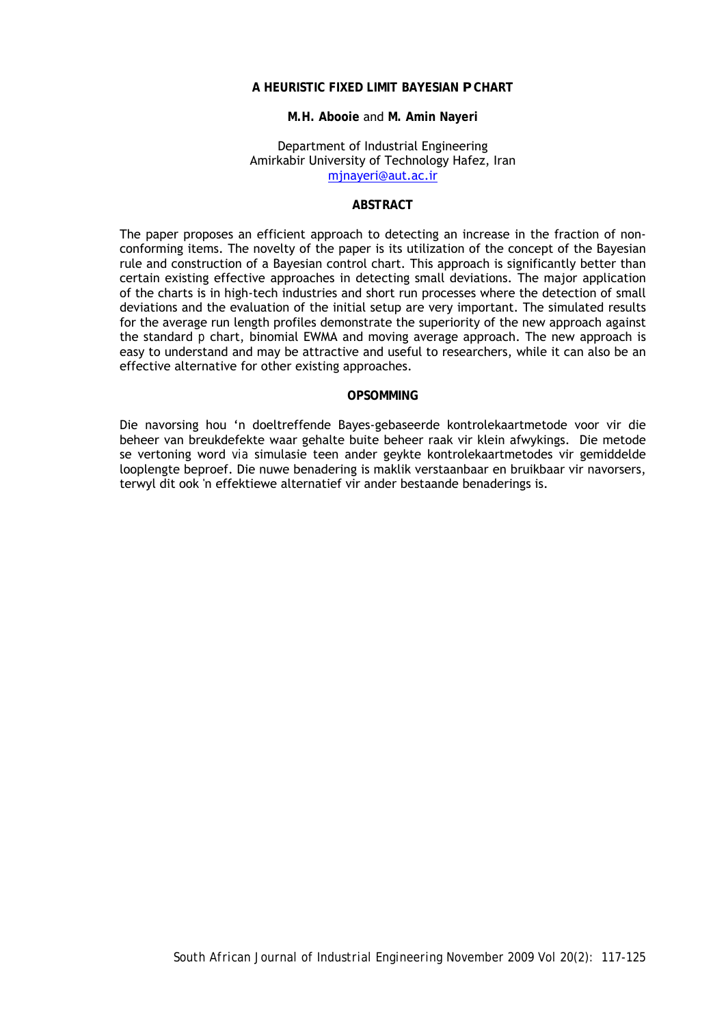## **A HEURISTIC FIXED LIMIT BAYESIAN** *P* **CHART**

#### **M.H. Abooie** and **M. Amin Nayeri**

#### Department of Industrial Engineering Amirkabir University of Technology Hafez, Iran mjnayeri@aut.ac.ir

### **ABSTRACT**

The paper proposes an efficient approach to detecting an increase in the fraction of nonconforming items. The novelty of the paper is its utilization of the concept of the Bayesian rule and construction of a Bayesian control chart. This approach is significantly better than certain existing effective approaches in detecting small deviations. The major application of the charts is in high-tech industries and short run processes where the detection of small deviations and the evaluation of the initial setup are very important. The simulated results for the average run length profiles demonstrate the superiority of the new approach against the standard *p* chart, binomial EWMA and moving average approach. The new approach is easy to understand and may be attractive and useful to researchers, while it can also be an effective alternative for other existing approaches.

#### **OPSOMMING**

Die navorsing hou 'n doeltreffende Bayes-gebaseerde kontrolekaartmetode voor vir die beheer van breukdefekte waar gehalte buite beheer raak vir klein afwykings. Die metode se vertoning word *via* simulasie teen ander geykte kontrolekaartmetodes vir gemiddelde looplengte beproef. Die nuwe benadering is maklik verstaanbaar en bruikbaar vir navorsers, terwyl dit ook 'n effektiewe alternatief vir ander bestaande benaderings is.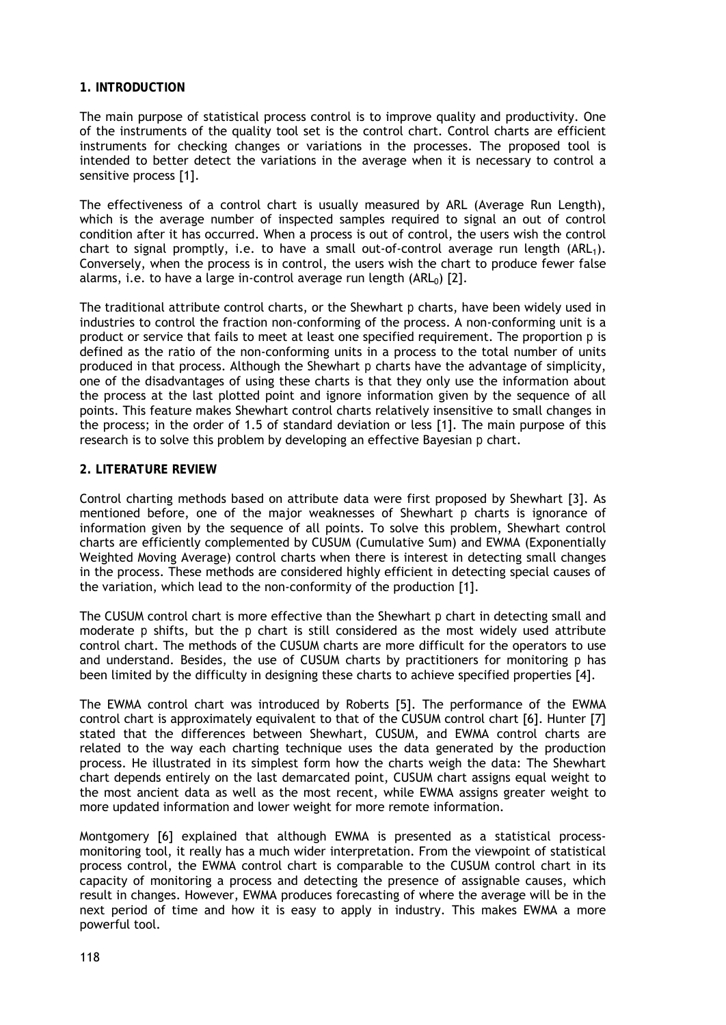## **1. INTRODUCTION**

The main purpose of statistical process control is to improve quality and productivity. One of the instruments of the quality tool set is the control chart. Control charts are efficient instruments for checking changes or variations in the processes. The proposed tool is intended to better detect the variations in the average when it is necessary to control a sensitive process [1].

The effectiveness of a control chart is usually measured by ARL (Average Run Length), which is the average number of inspected samples required to signal an out of control condition after it has occurred. When a process is out of control, the users wish the control chart to signal promptly, i.e. to have a small out-of-control average run length (ARL1). Conversely, when the process is in control, the users wish the chart to produce fewer false alarms, i.e. to have a large in-control average run length  $(ARL<sub>0</sub>)$  [2].

The traditional attribute control charts, or the Shewhart *p* charts, have been widely used in industries to control the fraction non-conforming of the process. A non-conforming unit is a product or service that fails to meet at least one specified requirement. The proportion *p* is defined as the ratio of the non-conforming units in a process to the total number of units produced in that process. Although the Shewhart *p* charts have the advantage of simplicity, one of the disadvantages of using these charts is that they only use the information about the process at the last plotted point and ignore information given by the sequence of all points. This feature makes Shewhart control charts relatively insensitive to small changes in the process; in the order of 1.5 of standard deviation or less [1]. The main purpose of this research is to solve this problem by developing an effective Bayesian *p* chart.

### **2. LITERATURE REVIEW**

Control charting methods based on attribute data were first proposed by Shewhart [3]. As mentioned before, one of the major weaknesses of Shewhart *p* charts is ignorance of information given by the sequence of all points. To solve this problem, Shewhart control charts are efficiently complemented by CUSUM (Cumulative Sum) and EWMA (Exponentially Weighted Moving Average) control charts when there is interest in detecting small changes in the process. These methods are considered highly efficient in detecting special causes of the variation, which lead to the non-conformity of the production [1].

The CUSUM control chart is more effective than the Shewhart *p* chart in detecting small and moderate *p* shifts, but the *p* chart is still considered as the most widely used attribute control chart. The methods of the CUSUM charts are more difficult for the operators to use and understand. Besides, the use of CUSUM charts by practitioners for monitoring *p* has been limited by the difficulty in designing these charts to achieve specified properties [4].

The EWMA control chart was introduced by Roberts [5]. The performance of the EWMA control chart is approximately equivalent to that of the CUSUM control chart [6]. Hunter [7] stated that the differences between Shewhart, CUSUM, and EWMA control charts are related to the way each charting technique uses the data generated by the production process. He illustrated in its simplest form how the charts weigh the data: The Shewhart chart depends entirely on the last demarcated point, CUSUM chart assigns equal weight to the most ancient data as well as the most recent, while EWMA assigns greater weight to more updated information and lower weight for more remote information.

Montgomery [6] explained that although EWMA is presented as a statistical processmonitoring tool, it really has a much wider interpretation. From the viewpoint of statistical process control, the EWMA control chart is comparable to the CUSUM control chart in its capacity of monitoring a process and detecting the presence of assignable causes, which result in changes. However, EWMA produces forecasting of where the average will be in the next period of time and how it is easy to apply in industry. This makes EWMA a more powerful tool.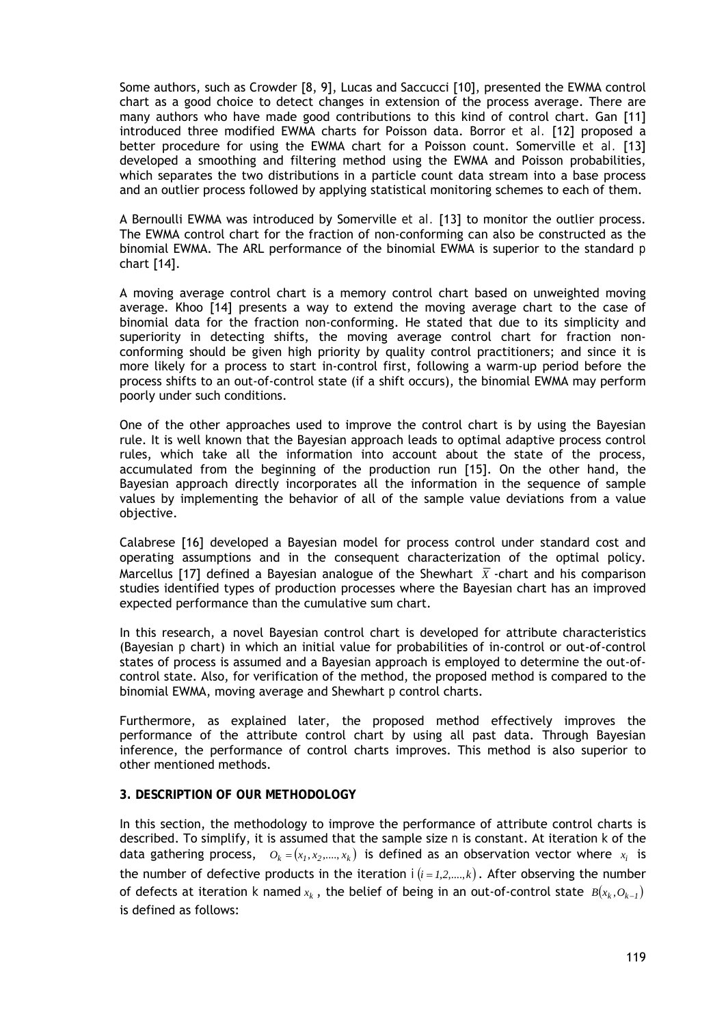Some authors, such as Crowder [8, 9], Lucas and Saccucci [10], presented the EWMA control chart as a good choice to detect changes in extension of the process average. There are many authors who have made good contributions to this kind of control chart. Gan [11] introduced three modified EWMA charts for Poisson data. Borror *et al.* [12] proposed a better procedure for using the EWMA chart for a Poisson count. Somerville *et al.* [13] developed a smoothing and filtering method using the EWMA and Poisson probabilities, which separates the two distributions in a particle count data stream into a base process and an outlier process followed by applying statistical monitoring schemes to each of them.

A Bernoulli EWMA was introduced by Somerville *et al.* [13] to monitor the outlier process. The EWMA control chart for the fraction of non-conforming can also be constructed as the binomial EWMA. The ARL performance of the binomial EWMA is superior to the standard *p* chart [14].

A moving average control chart is a memory control chart based on unweighted moving average. Khoo [14] presents a way to extend the moving average chart to the case of binomial data for the fraction non-conforming. He stated that due to its simplicity and superiority in detecting shifts, the moving average control chart for fraction nonconforming should be given high priority by quality control practitioners; and since it is more likely for a process to start in-control first, following a warm-up period before the process shifts to an out-of-control state (if a shift occurs), the binomial EWMA may perform poorly under such conditions.

One of the other approaches used to improve the control chart is by using the Bayesian rule. It is well known that the Bayesian approach leads to optimal adaptive process control rules, which take all the information into account about the state of the process, accumulated from the beginning of the production run [15]. On the other hand, the Bayesian approach directly incorporates all the information in the sequence of sample values by implementing the behavior of all of the sample value deviations from a value objective.

Calabrese [16] developed a Bayesian model for process control under standard cost and operating assumptions and in the consequent characterization of the optimal policy. Marcellus [17] defined a Bayesian analogue of the Shewhart  $\bar{x}$  -chart and his comparison studies identified types of production processes where the Bayesian chart has an improved expected performance than the cumulative sum chart.

In this research, a novel Bayesian control chart is developed for attribute characteristics (Bayesian *p* chart) in which an initial value for probabilities of in-control or out-of-control states of process is assumed and a Bayesian approach is employed to determine the out-ofcontrol state. Also, for verification of the method, the proposed method is compared to the binomial EWMA, moving average and Shewhart *p* control charts.

Furthermore, as explained later, the proposed method effectively improves the performance of the attribute control chart by using all past data. Through Bayesian inference, the performance of control charts improves. This method is also superior to other mentioned methods.

### **3. DESCRIPTION OF OUR METHODOLOGY**

In this section, the methodology to improve the performance of attribute control charts is described. To simplify, it is assumed that the sample size *n* is constant. At iteration *k* of the data gathering process,  $o_k = (x_1, x_2, \dots, x_k)$  is defined as an observation vector where  $x_i$  is the number of defective products in the iteration  $i(i=1,2,...,k)$ . After observing the number of defects at iteration *k* named  $x_k$ , the belief of being in an out-of-control state  $B(x_k, O_{k-1})$ is defined as follows: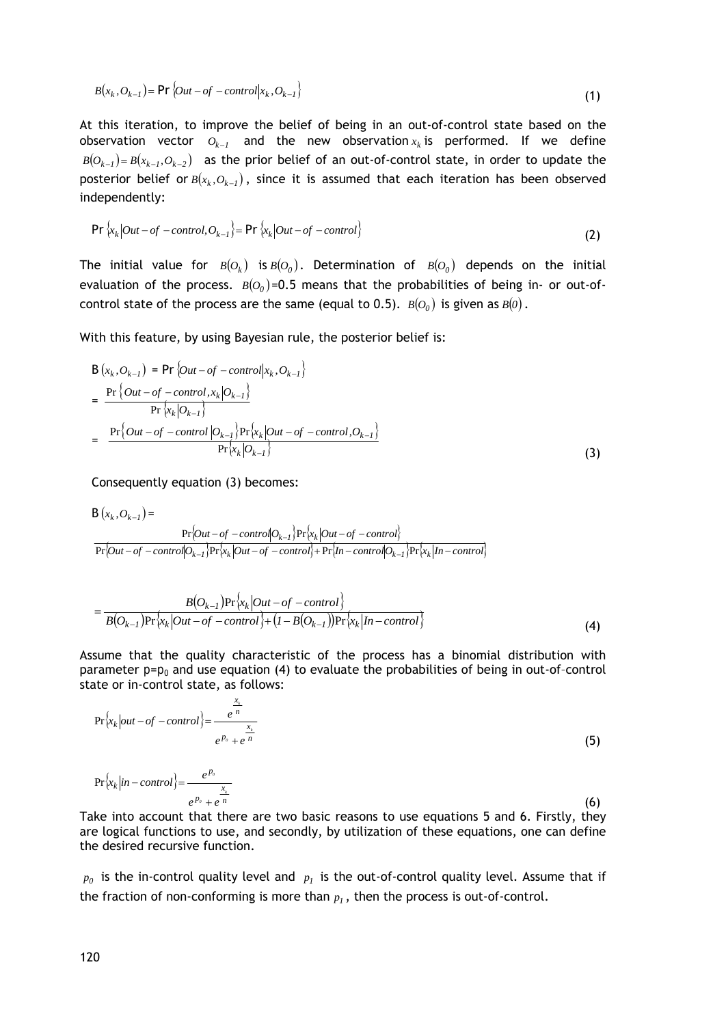$$
B(x_k, O_{k-1}) = \Pr \{Out - of - control | x_k, O_{k-1}\}\
$$
\n(1)

At this iteration, to improve the belief of being in an out-of-control state based on the observation vector  $O_{k-1}$  and the new observation  $x_k$  is performed. If we define  $B(O_{k-1}) = B(x_{k-1}, O_{k-2})$  as the prior belief of an out-of-control state, in order to update the posterior belief or  $B(x_k, O_{k-1})$ , since it is assumed that each iteration has been observed independently:

$$
\Pr\left\{x_k\big|Out - of -control, O_{k-1}\right\} = \Pr\left\{x_k\big|Out - of -control\right\}
$$
\n(2)

The initial value for  $B(O_k)$  is  $B(O_0)$ . Determination of  $B(O_0)$  depends on the initial evaluation of the process.  $B(O<sub>0</sub>)$ =0.5 means that the probabilities of being in- or out-ofcontrol state of the process are the same (equal to 0.5).  $B(O_0)$  is given as  $B(0)$ .

With this feature, by using Bayesian rule, the posterior belief is:

$$
B(x_k, O_{k-1}) = Pr\{Out - of - control|x_k, O_{k-1}\}\
$$
  
= 
$$
\frac{Pr\{Out - of - control, x_k|O_{k-1}\}}{Pr\{x_k|O_{k-1}\}}
$$
  
= 
$$
\frac{Pr\{Out - of - control|O_{k-1}\}Pr\{x_k|Out - of - control,O_{k-1}\}}{Pr\{x_k|O_{k-1}\}}
$$
(3)

Consequently equation (3) becomes:

$$
B(x_k, O_{k-1}) = \Pr\left[Out - of - control|O_{k-1}\right] Pr\left\{x_k|Out - of - control\right\}
$$
  
Pr\left[Out - of - control|O\_{k-1}\right] Pr\left\{x\_k|Out - of - control\right\} + Pr\left\{In - control|O\_{k-1}\right\} Pr\left\{x\_k|In - control|O\_{k-1}\right\} + Pr\left\{X\_k|In - control|O\_{k-1}\right\} + Pr\left\{X\_k|In - control|O\_{k-1}\right\} + Pr\left\{X\_k|In - control|O\_{k-1}\right\} + Pr\left\{X\_k|In - control|O\_{k-1}\right\} + Pr\left\{X\_k|In - control|O\_{k-1}\right\} + Pr\left\{X\_k|In - control|O\_{k-1}\right\} + Pr\left\{X\_k|In - control|O\_{k-1}\right\} + Pr\left\{X\_k|In - control|O\_{k-1}\right\} + Pr\left\{X\_k|In - control|O\_{k-1}\right\} + Pr\left\{X\_k|In - control|O\_{k-1}\right\} + Pr\left\{X\_k|In - control|O\_{k-1}\right\} + Pr\left\{X\_k|In - control|O\_{k-1}\right\} + Pr\left\{X\_k|In - control|O\_{k-1}\right\} + Pr\left\{X\_k|In - control|O\_{k-1}\right\} + Pr\left\{X\_k|In - control|O\_{k-1}\right\} + Pr\left\{X\_k|In - control|O\_{k-1}\right\} + Pr\left\{X\_k|In - control|O\_{k-1}\right\} + Pr\left\{X\_k|In - control|O\_{k-1}\right\} + Pr\left\{X\_k|In - control|O\_{k-1}\right\} + Pr\left\{X\_k|In - control|O\_{k-1}\right\} + Pr\left\{X\_k|In - control|O\_{k-1}\right\} + Pr\left\{X\_k|In - control|O\_{k-1}\right\} + Pr\left\{X\_k|In - control|O\_{k-1}\right\} + Pr\left\{X\_k|In - control|O\_{k-1}\right\} + Pr\left\{X\_k|In - control|O\_{k-1}\right\} + Pr\left\{X\_k|In - control|O\_{k-1}\right\} + Pr\left\{X\_k|In - control|O\_{k-1}\right\} + Pr\left\{X\_k|In - control|O\_{k-1}\right\} + Pr\left\{X\_k|In - control|O\_{k-

$$
= \frac{B(O_{k-1})\Pr\{x_k|Out-of-control\}}{B(O_{k-1})\Pr\{x_k|Out-of-control\} + (1 - B(O_{k-1}))\Pr\{x_k|In-control\}}
$$
(4)

Assume that the quality characteristic of the process has a binomial distribution with parameter  $p=p_0$  and use equation (4) to evaluate the probabilities of being in out-of-control state or in-control state, as follows:

$$
\Pr\left\{x_k|out-of-control\right\} = \frac{\frac{x_k}{e^n}}{e^{P_0} + e^{n}}
$$
\n(5)

$$
\Pr\left\{x_k \left| in-control \right\} = \frac{e^{p_o}}{e^{p_o} + e^{\frac{x_i}{n}}}
$$
\n
$$
(6)
$$

Take into account that there are two basic reasons to use equations 5 and 6. Firstly, they are logical functions to use, and secondly, by utilization of these equations, one can define the desired recursive function.

 $p_0$  is the in-control quality level and  $p_1$  is the out-of-control quality level. Assume that if the fraction of non-conforming is more than  $p_l$ , then the process is out-of-control.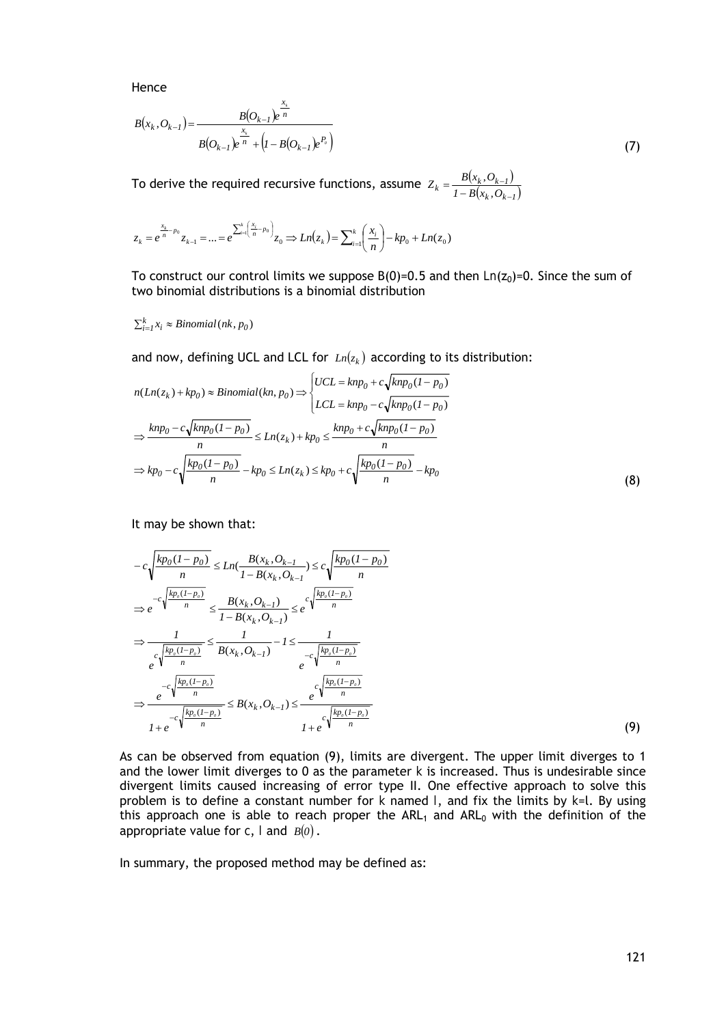Hence

$$
B(x_k, O_{k-1}) = \frac{B(O_{k-1})e^{\frac{x_k}{n}}}{B(O_{k-1})e^{\frac{x_k}{n}} + (1 - B(O_{k-1})e^{P_o})}
$$
\n(7)

To derive the required recursive functions, assume  $Z_k = \frac{B(x_k, O_{k-1})}{I - B(x_k, O_{k-1})}$  $=\frac{B(x_k, O_{k-1})}{1-B(x_k, O_k)}$ 

$$
z_k = e^{\frac{x_k}{n} - p_0} z_{k-1} = \dots = e^{\sum_{i=1}^k \left(\frac{x_i}{n} - p_0\right)} z_0 \Rightarrow Ln(z_k) = \sum_{i=1}^k \left(\frac{x_i}{n}\right) - kp_0 + Ln(z_0)
$$

To construct our control limits we suppose  $B(0)=0.5$  and then  $Ln(z<sub>0</sub>)=0$ . Since the sum of two binomial distributions is a binomial distribution

 $\sum_{i=1}^{k} x_i \approx Binomial(nk, p_0)$ 

and now, defining UCL and LCL for  $Ln(z_k)$  according to its distribution:

$$
n(Ln(z_k) + kp_0) \approx Binomial(kn, p_0) \Rightarrow \begin{cases} UCL = knp_0 + c\sqrt{knp_0(1 - p_0)} \\ LCL = knp_0 - c\sqrt{knp_0(1 - p_0)} \end{cases}
$$

$$
\Rightarrow \frac{knp_0 - c\sqrt{knp_0(1 - p_0)}}{n} \le Ln(z_k) + kp_0 \le \frac{knp_0 + c\sqrt{knp_0(1 - p_0)}}{n}
$$

$$
\Rightarrow kp_0 - c\sqrt{\frac{kp_0(1 - p_0)}{n}} - kp_0 \le Ln(z_k) \le kp_0 + c\sqrt{\frac{kp_0(1 - p_0)}{n}} - kp_0 \tag{8}
$$

It may be shown that:

$$
-c\sqrt{\frac{kp_0(1-p_0)}{n}} \le Ln(\frac{B(x_k, O_{k-1})}{1 - B(x_k, O_{k-1})} \le c\sqrt{\frac{kp_0(1-p_0)}{n}}
$$
  
\n
$$
\Rightarrow e^{-c\sqrt{\frac{kp_s(1-p_0)}{n}}} \le \frac{B(x_k, O_{k-1})}{1 - B(x_k, O_{k-1})} \le e^{-c\sqrt{\frac{kp_s(1-p_0)}{n}}}
$$
  
\n
$$
\Rightarrow \frac{1}{e^{\sqrt{\frac{kp_s(1-p_0)}{n}}} \le \frac{1}{B(x_k, O_{k-1})} - 1 \le \frac{1}{e^{-c\sqrt{\frac{kp_s(1-p_0)}{n}}}}
$$
  
\n
$$
\Rightarrow \frac{e^{-c\sqrt{\frac{kp_s(1-p_0)}{n}}}}{1 + e^{-c\sqrt{\frac{kp_s(1-p_0)}{n}}} \le B(x_k, O_{k-1}) \le \frac{e^{\sqrt{\frac{kp_s(1-p_0)}{n}}}}{1 + e^{\sqrt{\frac{kp_s(1-p_0)}{n}}}}
$$
  
\n(9)

As can be observed from equation (9), limits are divergent. The upper limit diverges to 1 and the lower limit diverges to 0 as the parameter *k* is increased. Thus is undesirable since divergent limits caused increasing of error type II. One effective approach to solve this problem is to define a constant number for *k* named *l*, and fix the limits by *k*=l. By using this approach one is able to reach proper the ARL<sub>1</sub> and ARL<sub>0</sub> with the definition of the appropriate value for  $c$ , *l* and  $B(0)$ .

In summary, the proposed method may be defined as: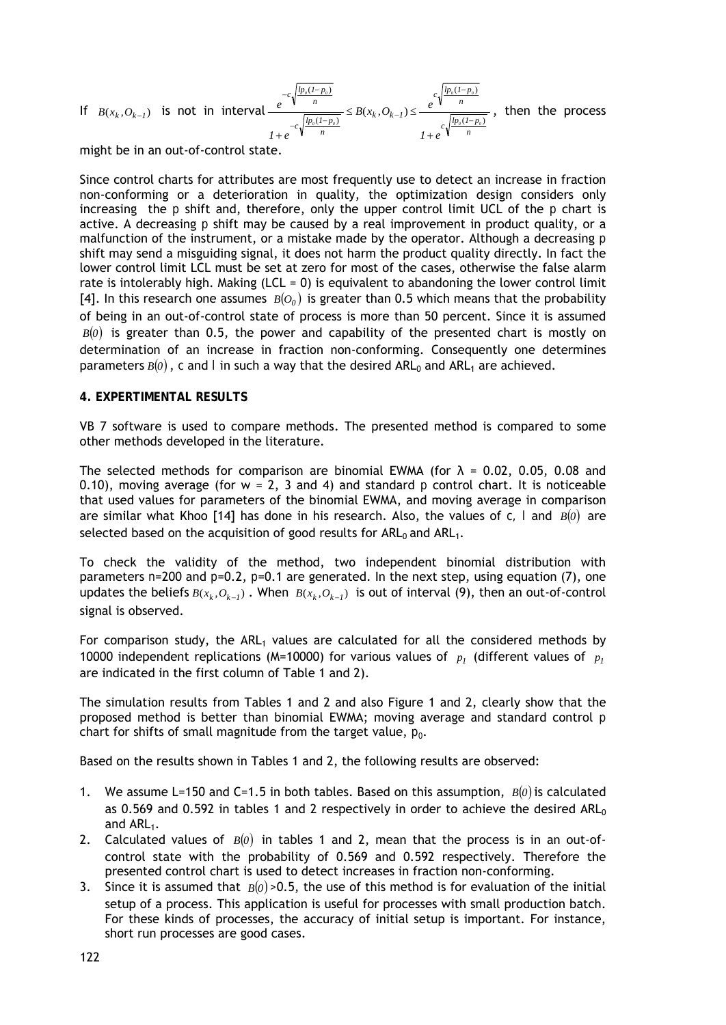If  $B(x_k, O_{k-1})$  is not in interval *n*  $c_n \frac{dp_o(1-p)}{p_o(1-p)}$  $c\sqrt{\frac{lp_o(l-p)}{n}}$  $\frac{1}{c} \sqrt{\frac{lp_0(1-p_0)}{p_0(1-p_0)}} \geq D(\lambda_k, O_{k-1})$ *n*  $c\sqrt{\frac{lp_o(l-p)}{n}}$ *0 0 0 0 0 0*  $\frac{e^{C_1 \frac{p_o}{p_o}}}{\sqrt{p_o(1-p_o)}} \le B(x_k, O_{k-1}) \le \frac{e^{C_1 \sqrt{\frac{p_o(1-p_o)}{p_o}}}}{\sqrt{p_o(1-p_o)}}$ *1 e 1 e e*  $(I - p_{0})$  $(I-p<sub>a</sub>)$  $(I - p_{0})$  $(x_k, O_{k-l}) \leq \frac{c}{\sqrt{lp_{\scriptscriptstyle a}(l-1)}}$  $\overline{a}$  $\frac{1}{-c\sqrt{\frac{lp_o(1-p_o)}{l}}}\geq D(x_k, U_{k-1})$  $-c$ ,  $\frac{lp_o(1)}{l_p}$  $^{+}$  $\leq B(x_k, O_{k-1}) \leq$  $\ddot{}$ , then the process

might be in an out-of-control state.

Since control charts for attributes are most frequently use to detect an increase in fraction non-conforming or a deterioration in quality, the optimization design considers only increasing the  $p$  shift and, therefore, only the upper control limit UCL of the  $p$  chart is active. A decreasing  $p$  shift may be caused by a real improvement in product quality, or a malfunction of the instrument, or a mistake made by the operator. Although a decreasing *p* shift may send a misguiding signal, it does not harm the product quality directly. In fact the lower control limit LCL must be set at zero for most of the cases, otherwise the false alarm rate is intolerably high. Making (LCL = 0) is equivalent to abandoning the lower control limit [4]. In this research one assumes  $B(O<sub>0</sub>)$  is greater than 0.5 which means that the probability of being in an out-of-control state of process is more than 50 percent. Since it is assumed  $B(0)$  is greater than 0.5, the power and capability of the presented chart is mostly on determination of an increase in fraction non-conforming. Consequently one determines parameters  $B(0)$ , c and *l* in such a way that the desired ARL<sub>0</sub> and ARL<sub>1</sub> are achieved.

### **4. EXPERTIMENTAL RESULTS**

VB 7 software is used to compare methods. The presented method is compared to some other methods developed in the literature.

The selected methods for comparison are binomial EWMA (for  $\lambda = 0.02$ , 0.05, 0.08 and 0.10), moving average (for  $w = 2$ , 3 and 4) and standard  $p$  control chart. It is noticeable that used values for parameters of the binomial EWMA, and moving average in comparison are similar what Khoo [14] has done in his research. Also, the values of  $c$ , *l* and  $B(0)$  are selected based on the acquisition of good results for  $ARL<sub>0</sub>$  and  $ARL<sub>1</sub>$ .

To check the validity of the method, two independent binomial distribution with parameters *n*=200 and *p*=0.2, *p*=0.1 are generated. In the next step, using equation (7), one updates the beliefs  $B(x_k, O_{k-1})$ . When  $B(x_k, O_{k-1})$  is out of interval (9), then an out-of-control signal is observed.

For comparison study, the  $ARL<sub>1</sub>$  values are calculated for all the considered methods by 10000 independent replications (M=10000) for various values of  $p_1$  (different values of  $p_1$ are indicated in the first column of Table 1 and 2).

The simulation results from Tables 1 and 2 and also Figure 1 and 2, clearly show that the proposed method is better than binomial EWMA; moving average and standard control *p* chart for shifts of small magnitude from the target value, *p0*.

Based on the results shown in Tables 1 and 2, the following results are observed:

- 1. We assume L=150 and C=1.5 in both tables. Based on this assumption, *B0* is calculated as 0.569 and 0.592 in tables 1 and 2 respectively in order to achieve the desired  $ARL<sub>0</sub>$ and ARL<sub>1</sub>.
- 2. Calculated values of *B0* in tables 1 and 2, mean that the process is in an out-ofcontrol state with the probability of 0.569 and 0.592 respectively. Therefore the presented control chart is used to detect increases in fraction non-conforming.
- 3. Since it is assumed that  $B(0) > 0.5$ , the use of this method is for evaluation of the initial setup of a process. This application is useful for processes with small production batch. For these kinds of processes, the accuracy of initial setup is important. For instance, short run processes are good cases.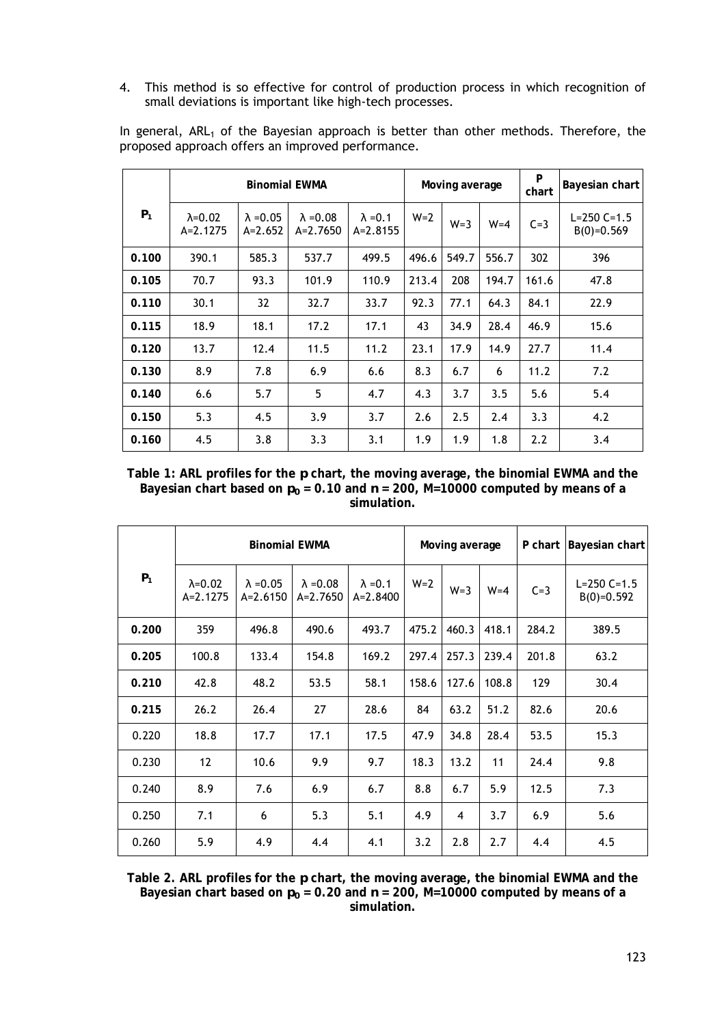4. This method is so effective for control of production process in which recognition of small deviations is important like high-tech processes.

| $P_1$ | <b>Binomial EWMA</b>           |                               |                                |                                 | Moving average |       |         | P<br>chart | Bayesian chart                    |
|-------|--------------------------------|-------------------------------|--------------------------------|---------------------------------|----------------|-------|---------|------------|-----------------------------------|
|       | $\lambda = 0.02$<br>$A=2.1275$ | $\lambda = 0.05$<br>$A=2.652$ | $\lambda = 0.08$<br>$A=2.7650$ | $\lambda = 0.1$<br>$A = 2.8155$ | $W=2$          | $W=3$ | $W = 4$ | $C=3$      | $L = 250 C = 1.5$<br>$B(0)=0.569$ |
| 0.100 | 390.1                          | 585.3                         | 537.7                          | 499.5                           | 496.6          | 549.7 | 556.7   | 302        | 396                               |
| 0.105 | 70.7                           | 93.3                          | 101.9                          | 110.9                           | 213.4          | 208   | 194.7   | 161.6      | 47.8                              |
| 0.110 | 30.1                           | 32                            | 32.7                           | 33.7                            | 92.3           | 77.1  | 64.3    | 84.1       | 22.9                              |
| 0.115 | 18.9                           | 18.1                          | 17.2                           | 17.1                            | 43             | 34.9  | 28.4    | 46.9       | 15.6                              |
| 0.120 | 13.7                           | 12.4                          | 11.5                           | 11.2                            | 23.1           | 17.9  | 14.9    | 27.7       | 11.4                              |
| 0.130 | 8.9                            | 7.8                           | 6.9                            | 6.6                             | 8.3            | 6.7   | 6       | 11.2       | 7.2                               |
| 0.140 | 6.6                            | 5.7                           | 5                              | 4.7                             | 4.3            | 3.7   | 3.5     | 5.6        | 5.4                               |
| 0.150 | 5.3                            | 4.5                           | 3.9                            | 3.7                             | 2.6            | 2.5   | 2.4     | 3.3        | 4.2                               |
| 0.160 | 4.5                            | 3.8                           | 3.3                            | 3.1                             | 1.9            | 1.9   | 1.8     | 2.2        | 3.4                               |

In general, ARL<sub>1</sub> of the Bayesian approach is better than other methods. Therefore, the proposed approach offers an improved performance.

**Table 1: ARL profiles for the** *p* **chart, the moving average, the binomial EWMA and the**  Bayesian chart based on  $p_0$  = 0.10 and  $n$  = 200, M=10000 computed by means of a **simulation.** 

|       | <b>Binomial EWMA</b>           |                                |                                |                                 | Moving average |         |         |       | P chart Bayesian chart            |
|-------|--------------------------------|--------------------------------|--------------------------------|---------------------------------|----------------|---------|---------|-------|-----------------------------------|
| $P_1$ | $\lambda = 0.02$<br>$A=2.1275$ | $\lambda = 0.05$<br>$A=2.6150$ | $\lambda = 0.08$<br>$A=2.7650$ | $\lambda = 0.1$<br>$A = 2.8400$ | $W=2$          | $W = 3$ | $W = 4$ | $C=3$ | $L = 250 C = 1.5$<br>$B(0)=0.592$ |
| 0.200 | 359                            | 496.8                          | 490.6                          | 493.7                           | 475.2          | 460.3   | 418.1   | 284.2 | 389.5                             |
| 0.205 | 100.8                          | 133.4                          | 154.8                          | 169.2                           | 297.4          | 257.3   | 239.4   | 201.8 | 63.2                              |
| 0.210 | 42.8                           | 48.2                           | 53.5                           | 58.1                            | 158.6          | 127.6   | 108.8   | 129   | 30.4                              |
| 0.215 | 26.2                           | 26.4                           | 27                             | 28.6                            | 84             | 63.2    | 51.2    | 82.6  | 20.6                              |
| 0.220 | 18.8                           | 17.7                           | 17.1                           | 17.5                            | 47.9           | 34.8    | 28.4    | 53.5  | 15.3                              |
| 0.230 | 12                             | 10.6                           | 9.9                            | 9.7                             | 18.3           | 13.2    | 11      | 24.4  | 9.8                               |
| 0.240 | 8.9                            | 7.6                            | 6.9                            | 6.7                             | 8.8            | 6.7     | 5.9     | 12.5  | 7.3                               |
| 0.250 | 7.1                            | 6                              | 5.3                            | 5.1                             | 4.9            | 4       | 3.7     | 6.9   | 5.6                               |
| 0.260 | 5.9                            | 4.9                            | 4.4                            | 4.1                             | 3.2            | 2.8     | 2.7     | 4.4   | 4.5                               |

**Table 2. ARL profiles for the** *p* **chart, the moving average, the binomial EWMA and the**  Bayesian chart based on  $p_0$  = 0.20 and  $n$  = 200, M=10000 computed by means of a **simulation.**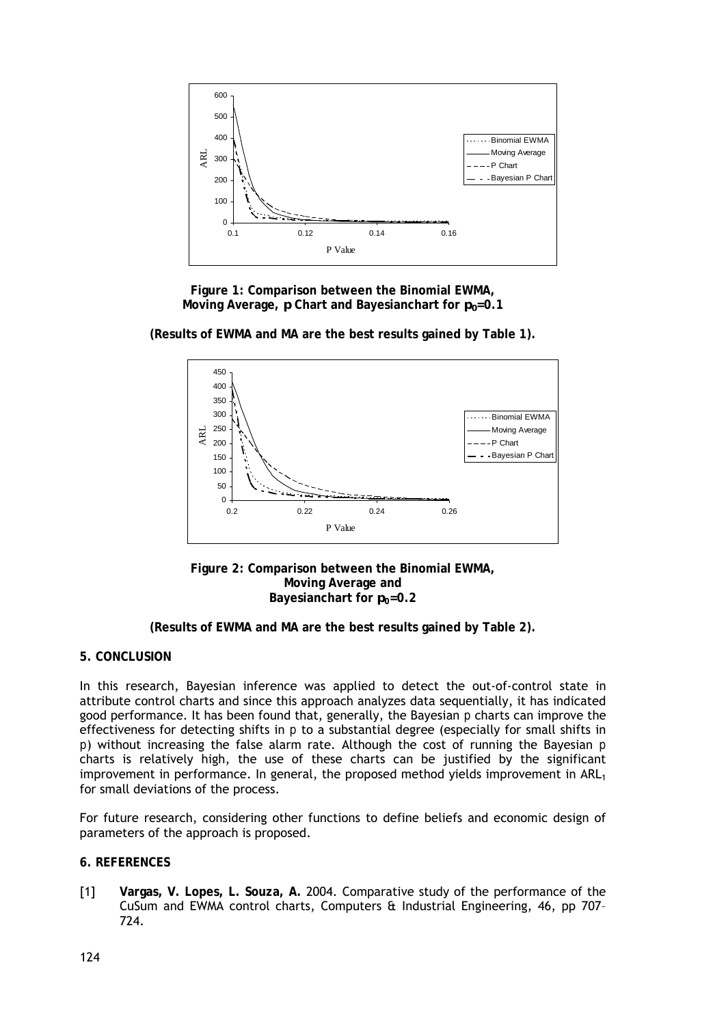

**Figure 1: Comparison between the Binomial EWMA, Moving Average,** *p* **Chart and Bayesianchart for**  $p_0 = 0.1$ 



**(Results of EWMA and MA are the best results gained by Table 1).** 

**Figure 2: Comparison between the Binomial EWMA, Moving Average and Bayesianchart for**  $p_0=0.2$ 

# **5. CONCLUSION**

In this research, Bayesian inference was applied to detect the out-of-control state in attribute control charts and since this approach analyzes data sequentially, it has indicated good performance. It has been found that, generally, the Bayesian *p* charts can improve the effectiveness for detecting shifts in *p* to a substantial degree (especially for small shifts in *p*) without increasing the false alarm rate. Although the cost of running the Bayesian *p* charts is relatively high, the use of these charts can be justified by the significant improvement in performance. In general, the proposed method yields improvement in  $ARL<sub>1</sub>$ for small deviations of the process.

For future research, considering other functions to define beliefs and economic design of parameters of the approach is proposed.

### **6. REFERENCES**

[1] **Vargas, V. Lopes, L. Souza, A.** 2004. Comparative study of the performance of the CuSum and EWMA control charts, Computers & Industrial Engineering, 46, pp 707– 724.

**<sup>(</sup>Results of EWMA and MA are the best results gained by Table 2).**